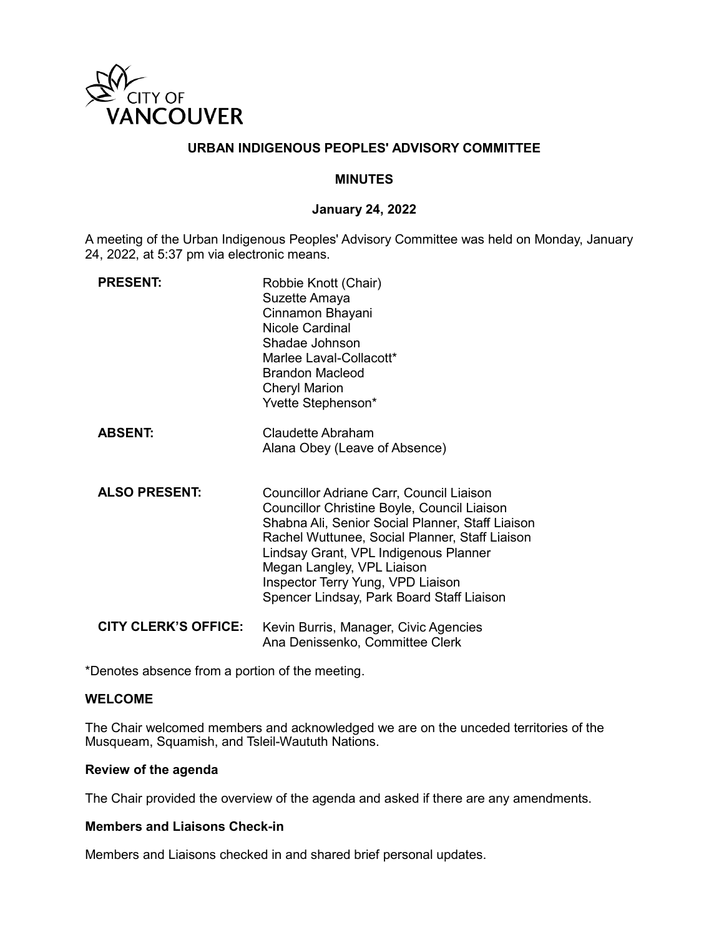

## **URBAN INDIGENOUS PEOPLES' ADVISORY COMMITTEE**

#### **MINUTES**

#### **January 24, 2022**

A meeting of the Urban Indigenous Peoples' Advisory Committee was held on Monday, January 24, 2022, at 5:37 pm via electronic means.

| <b>PRESENT:</b>             | Robbie Knott (Chair)<br>Suzette Amaya<br>Cinnamon Bhayani<br>Nicole Cardinal<br>Shadae Johnson<br>Marlee Laval-Collacott*<br>Brandon Macleod<br><b>Cheryl Marion</b><br>Yvette Stephenson*                                                                                                                                                             |
|-----------------------------|--------------------------------------------------------------------------------------------------------------------------------------------------------------------------------------------------------------------------------------------------------------------------------------------------------------------------------------------------------|
| <b>ABSENT:</b>              | <b>Claudette Abraham</b><br>Alana Obey (Leave of Absence)                                                                                                                                                                                                                                                                                              |
| <b>ALSO PRESENT:</b>        | Councillor Adriane Carr, Council Liaison<br>Councillor Christine Boyle, Council Liaison<br>Shabna Ali, Senior Social Planner, Staff Liaison<br>Rachel Wuttunee, Social Planner, Staff Liaison<br>Lindsay Grant, VPL Indigenous Planner<br>Megan Langley, VPL Liaison<br>Inspector Terry Yung, VPD Liaison<br>Spencer Lindsay, Park Board Staff Liaison |
| <b>CITY CLERK'S OFFICE:</b> | Kevin Burris, Manager, Civic Agencies<br>Ana Denissenko, Committee Clerk                                                                                                                                                                                                                                                                               |

\*Denotes absence from a portion of the meeting.

#### **WELCOME**

The Chair welcomed members and acknowledged we are on the unceded territories of the Musqueam, Squamish, and Tsleil-Waututh Nations.

#### **Review of the agenda**

The Chair provided the overview of the agenda and asked if there are any amendments.

## **Members and Liaisons Check-in**

Members and Liaisons checked in and shared brief personal updates.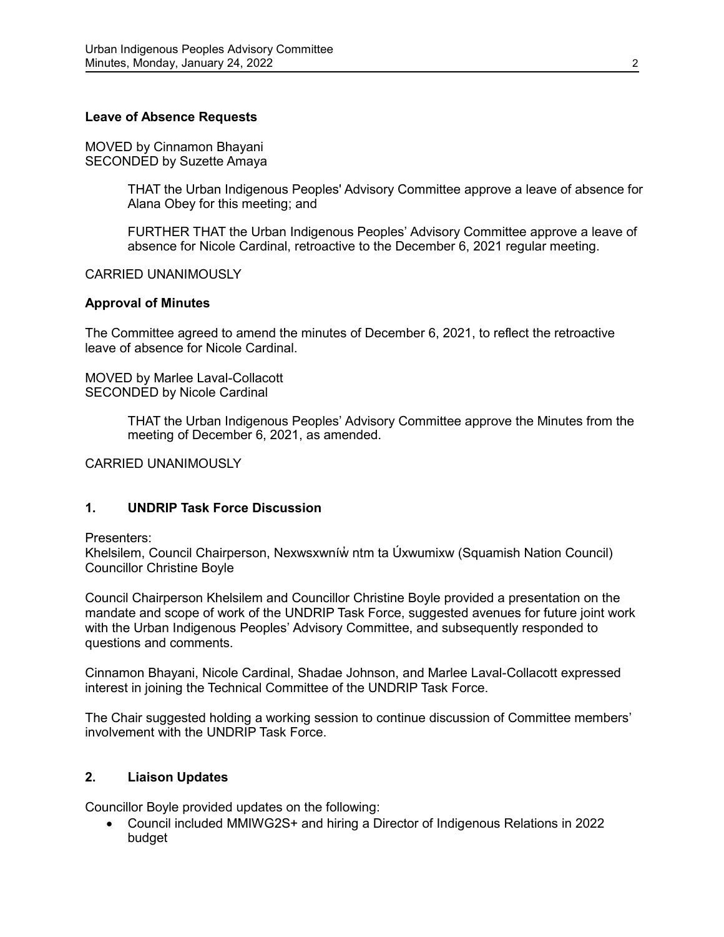## **Leave of Absence Requests**

MOVED by Cinnamon Bhayani SECONDED by Suzette Amaya

> THAT the Urban Indigenous Peoples' Advisory Committee approve a leave of absence for Alana Obey for this meeting; and

> FURTHER THAT the Urban Indigenous Peoples' Advisory Committee approve a leave of absence for Nicole Cardinal, retroactive to the December 6, 2021 regular meeting.

#### CARRIED UNANIMOUSLY

#### **Approval of Minutes**

The Committee agreed to amend the minutes of December 6, 2021, to reflect the retroactive leave of absence for Nicole Cardinal.

MOVED by Marlee Laval-Collacott SECONDED by Nicole Cardinal

> THAT the Urban Indigenous Peoples' Advisory Committee approve the Minutes from the meeting of December 6, 2021, as amended.

CARRIED UNANIMOUSLY

## **1. UNDRIP Task Force Discussion**

Presenters:

Khelsilem, Council Chairperson, Nexwsxwníw̓ ntm ta Úxwumixw (Squamish Nation Council) Councillor Christine Boyle

Council Chairperson Khelsilem and Councillor Christine Boyle provided a presentation on the mandate and scope of work of the UNDRIP Task Force, suggested avenues for future joint work with the Urban Indigenous Peoples' Advisory Committee, and subsequently responded to questions and comments.

Cinnamon Bhayani, Nicole Cardinal, Shadae Johnson, and Marlee Laval-Collacott expressed interest in joining the Technical Committee of the UNDRIP Task Force.

The Chair suggested holding a working session to continue discussion of Committee members' involvement with the UNDRIP Task Force.

## **2. Liaison Updates**

Councillor Boyle provided updates on the following:

• Council included MMIWG2S+ and hiring a Director of Indigenous Relations in 2022 budget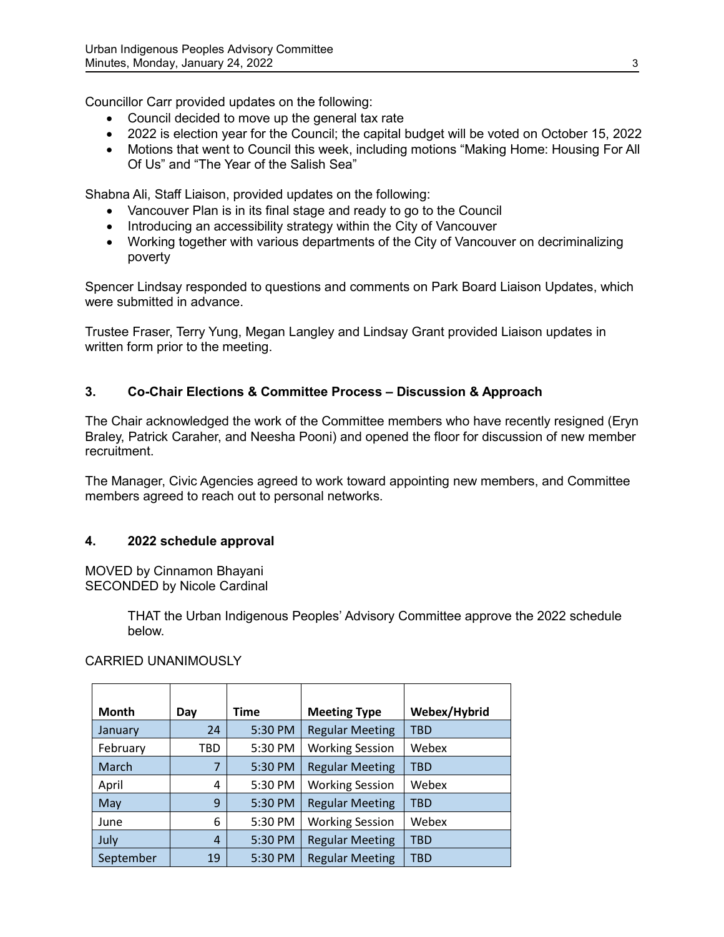Councillor Carr provided updates on the following:

- Council decided to move up the general tax rate
- 2022 is election year for the Council; the capital budget will be voted on October 15, 2022
- Motions that went to Council this week, including motions "Making Home: Housing For All Of Us" and "The Year of the Salish Sea"

Shabna Ali, Staff Liaison, provided updates on the following:

- Vancouver Plan is in its final stage and ready to go to the Council
- Introducing an accessibility strategy within the City of Vancouver
- Working together with various departments of the City of Vancouver on decriminalizing poverty

Spencer Lindsay responded to questions and comments on Park Board Liaison Updates, which were submitted in advance.

Trustee Fraser, Terry Yung, Megan Langley and Lindsay Grant provided Liaison updates in written form prior to the meeting.

## **3. Co-Chair Elections & Committee Process – Discussion & Approach**

The Chair acknowledged the work of the Committee members who have recently resigned (Eryn Braley, Patrick Caraher, and Neesha Pooni) and opened the floor for discussion of new member recruitment.

The Manager, Civic Agencies agreed to work toward appointing new members, and Committee members agreed to reach out to personal networks.

## **4. 2022 schedule approval**

MOVED by Cinnamon Bhayani SECONDED by Nicole Cardinal

> THAT the Urban Indigenous Peoples' Advisory Committee approve the 2022 schedule below.

> > $\top$

| <b>Month</b> | Day | Time    | <b>Meeting Type</b>    | Webex/Hybrid |
|--------------|-----|---------|------------------------|--------------|
| January      | 24  | 5:30 PM | <b>Regular Meeting</b> | <b>TBD</b>   |
| February     | TBD | 5:30 PM | <b>Working Session</b> | Webex        |
| March        | 7   | 5:30 PM | <b>Regular Meeting</b> | <b>TBD</b>   |
| April        | 4   | 5:30 PM | <b>Working Session</b> | Webex        |
| May          | 9   | 5:30 PM | <b>Regular Meeting</b> | <b>TBD</b>   |
| June         | 6   | 5:30 PM | <b>Working Session</b> | Webex        |
| July         | 4   | 5:30 PM | <b>Regular Meeting</b> | <b>TBD</b>   |
| September    | 19  | 5:30 PM | <b>Regular Meeting</b> | <b>TBD</b>   |

 $\overline{\phantom{a}}$ 

## CARRIED UNANIMOUSLY

 $\overline{\phantom{a}}$ 

 $\Gamma$ 

 $\overline{\phantom{a}}$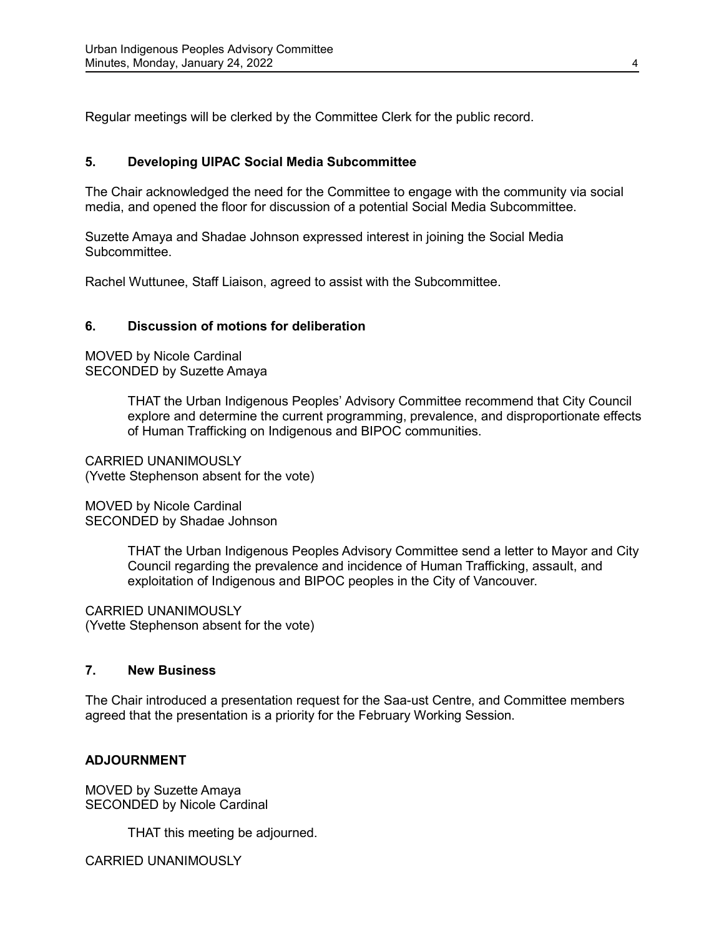Regular meetings will be clerked by the Committee Clerk for the public record.

## **5. Developing UIPAC Social Media Subcommittee**

The Chair acknowledged the need for the Committee to engage with the community via social media, and opened the floor for discussion of a potential Social Media Subcommittee.

Suzette Amaya and Shadae Johnson expressed interest in joining the Social Media Subcommittee.

Rachel Wuttunee, Staff Liaison, agreed to assist with the Subcommittee.

#### **6. Discussion of motions for deliberation**

MOVED by Nicole Cardinal SECONDED by Suzette Amaya

> THAT the Urban Indigenous Peoples' Advisory Committee recommend that City Council explore and determine the current programming, prevalence, and disproportionate effects of Human Trafficking on Indigenous and BIPOC communities.

CARRIED UNANIMOUSLY (Yvette Stephenson absent for the vote)

MOVED by Nicole Cardinal SECONDED by Shadae Johnson

> THAT the Urban Indigenous Peoples Advisory Committee send a letter to Mayor and City Council regarding the prevalence and incidence of Human Trafficking, assault, and exploitation of Indigenous and BIPOC peoples in the City of Vancouver.

CARRIED UNANIMOUSLY (Yvette Stephenson absent for the vote)

## **7. New Business**

The Chair introduced a presentation request for the Saa-ust Centre, and Committee members agreed that the presentation is a priority for the February Working Session.

#### **ADJOURNMENT**

MOVED by Suzette Amaya SECONDED by Nicole Cardinal

THAT this meeting be adjourned.

CARRIED UNANIMOUSLY